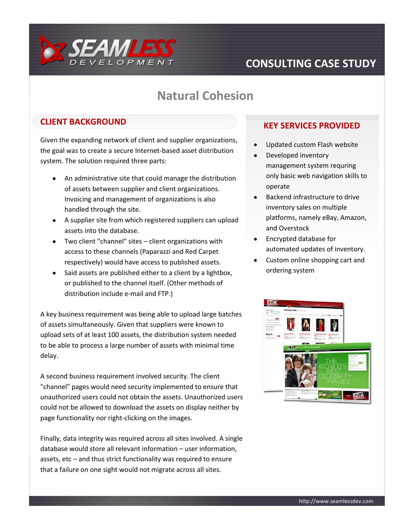

# **CONSULTING CASE STUDY**

# **Natural Cohesion**

### **CLIENT BACKGROUND**

Given the expanding network of client and supplier organizations, the goal was to create a secure Internet-based asset distribution system. The solution required three parts:

- $\bullet$ An administrative site that could manage the distribution of assets between supplier and client organizations. Invoicing and management of organizations is also handled through the site.
- A supplier site from which registered suppliers can upload assets into the database.
- Two client "channel" sites client organizations with access to these channels (Paparazzi and Red Carpet respectively) would have access to published assets.
- Said assets are published either to a client by a lightbox,  $\bullet$ or published to the channel itself. (Other methods of distribution include e-mail and FTP.)

A key business requirement was being able to upload large batches of assets simultaneously. Given that suppliers were known to upload sets of at least 100 assets, the distribution system needed to be able to process a large number of assets with minimal time delay.

A second business requirement involved security. The client "channel" pages would need security implemented to ensure that unauthorized users could not obtain the assets. Unauthorized users could not be allowed to download the assets on display neither by page functionality nor right-clicking on the images.

Finally, data integrity was required across all sites involved. A single database would store all relevant information – user information, assets, etc – and thus strict functionality was required to ensure that a failure on one sight would not migrate across all sites.

### **KEY SERVICES PROVIDED**

- Updated custom Flash website
- Developed inventory management system requring only basic web navigation skills to operate
- Backend infrastructure to drive inventory sales on multiple platforms, namely eBay, Amazon, and Overstock
- Encrypted database for automated updates of inventory.
- Custom online shopping cart and ordering system